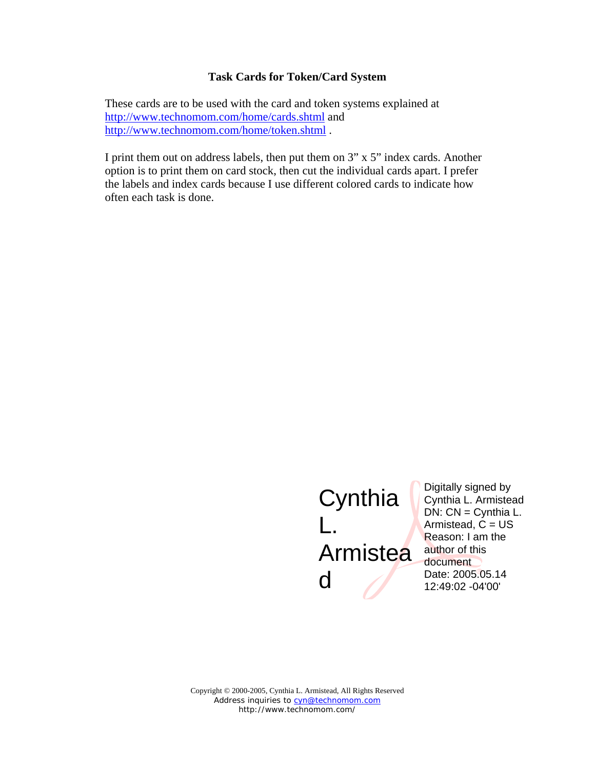## **Task Cards for Token/Card System**

These cards are to be used with the card and token systems explained at http://www.technomom.com/home/cards.shtml and http://www.technomom.com/home/token.shtml .

I print them out on address labels, then put them on 3" x 5" index cards. Another option is to print them on card stock, then cut the individual cards apart. I prefer the labels and index cards because I use different colored cards to indicate how often each task is done.

## **Cynthia** L. **Armistea** d

Digitally signed by Cynthia L. Armistead DN: CN = Cynthia L. Armistead,  $C = US$ Reason: I am the author of this document Date: 2005.05.14 12:49:02 -04'00'

Copyright © 2000-2005, Cynthia L. Armistead, All Rights Reserved Address inquiries to cyn@technomom.com http://www.technomom.com/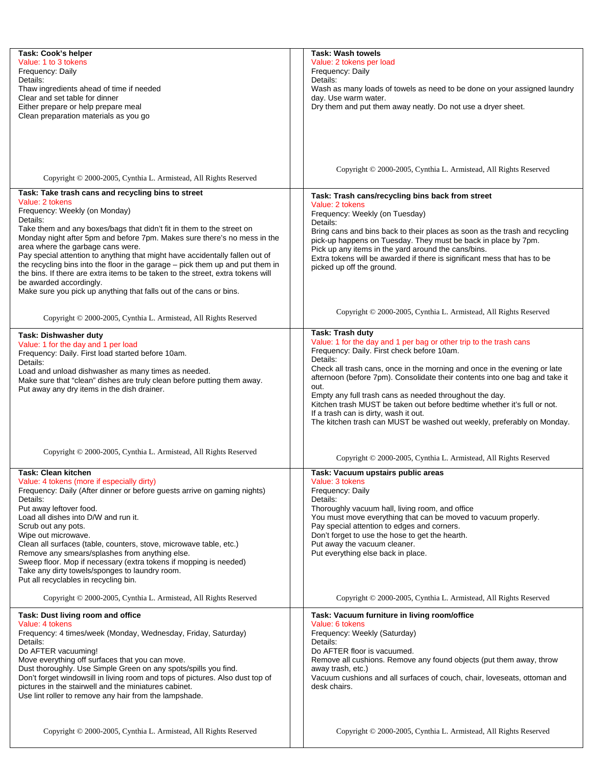| Task: Cook's helper<br>Value: 1 to 3 tokens<br>Frequency: Daily<br>Details:<br>Thaw ingredients ahead of time if needed<br>Clear and set table for dinner<br>Either prepare or help prepare meal<br>Clean preparation materials as you go                                                                                                                                                                                                                                                                                                                                                                                                                          | <b>Task: Wash towels</b><br>Value: 2 tokens per load<br>Frequency: Daily<br>Details:<br>Wash as many loads of towels as need to be done on your assigned laundry<br>day. Use warm water.<br>Dry them and put them away neatly. Do not use a dryer sheet.                                                                                                                                                                                                                                                                                                                       |
|--------------------------------------------------------------------------------------------------------------------------------------------------------------------------------------------------------------------------------------------------------------------------------------------------------------------------------------------------------------------------------------------------------------------------------------------------------------------------------------------------------------------------------------------------------------------------------------------------------------------------------------------------------------------|--------------------------------------------------------------------------------------------------------------------------------------------------------------------------------------------------------------------------------------------------------------------------------------------------------------------------------------------------------------------------------------------------------------------------------------------------------------------------------------------------------------------------------------------------------------------------------|
| Copyright © 2000-2005, Cynthia L. Armistead, All Rights Reserved                                                                                                                                                                                                                                                                                                                                                                                                                                                                                                                                                                                                   | Copyright © 2000-2005, Cynthia L. Armistead, All Rights Reserved                                                                                                                                                                                                                                                                                                                                                                                                                                                                                                               |
| Task: Take trash cans and recycling bins to street<br>Value: 2 tokens<br>Frequency: Weekly (on Monday)<br>Details:<br>Take them and any boxes/bags that didn't fit in them to the street on<br>Monday night after 5pm and before 7pm. Makes sure there's no mess in the<br>area where the garbage cans were.<br>Pay special attention to anything that might have accidentally fallen out of<br>the recycling bins into the floor in the garage – pick them up and put them in<br>the bins. If there are extra items to be taken to the street, extra tokens will<br>be awarded accordingly.<br>Make sure you pick up anything that falls out of the cans or bins. | Task: Trash cans/recycling bins back from street<br>Value: 2 tokens<br>Frequency: Weekly (on Tuesday)<br>Details:<br>Bring cans and bins back to their places as soon as the trash and recycling<br>pick-up happens on Tuesday. They must be back in place by 7pm.<br>Pick up any items in the yard around the cans/bins.<br>Extra tokens will be awarded if there is significant mess that has to be<br>picked up off the ground.                                                                                                                                             |
| Copyright © 2000-2005, Cynthia L. Armistead, All Rights Reserved                                                                                                                                                                                                                                                                                                                                                                                                                                                                                                                                                                                                   | Copyright © 2000-2005, Cynthia L. Armistead, All Rights Reserved                                                                                                                                                                                                                                                                                                                                                                                                                                                                                                               |
| Task: Dishwasher duty<br>Value: 1 for the day and 1 per load<br>Frequency: Daily. First load started before 10am.<br>Details:<br>Load and unload dishwasher as many times as needed.<br>Make sure that "clean" dishes are truly clean before putting them away.<br>Put away any dry items in the dish drainer.                                                                                                                                                                                                                                                                                                                                                     | Task: Trash duty<br>Value: 1 for the day and 1 per bag or other trip to the trash cans<br>Frequency: Daily. First check before 10am.<br>Details:<br>Check all trash cans, once in the morning and once in the evening or late<br>afternoon (before 7pm). Consolidate their contents into one bag and take it<br>out.<br>Empty any full trash cans as needed throughout the day.<br>Kitchen trash MUST be taken out before bedtime whether it's full or not.<br>If a trash can is dirty, wash it out.<br>The kitchen trash can MUST be washed out weekly, preferably on Monday. |
| Copyright © 2000-2005, Cynthia L. Armistead, All Rights Reserved                                                                                                                                                                                                                                                                                                                                                                                                                                                                                                                                                                                                   | Copyright © 2000-2005, Cynthia L. Armistead, All Rights Reserved                                                                                                                                                                                                                                                                                                                                                                                                                                                                                                               |
| Task: Clean kitchen<br>Value: 4 tokens (more if especially dirty)<br>Frequency: Daily (After dinner or before guests arrive on gaming nights)<br>Details:<br>Put away leftover food.<br>Load all dishes into D/W and run it.<br>Scrub out any pots.<br>Wipe out microwave.<br>Clean all surfaces (table, counters, stove, microwave table, etc.)<br>Remove any smears/splashes from anything else.<br>Sweep floor. Mop if necessary (extra tokens if mopping is needed)<br>Take any dirty towels/sponges to laundry room.<br>Put all recyclables in recycling bin.                                                                                                 | Task: Vacuum upstairs public areas<br>Value: 3 tokens<br>Frequency: Daily<br>Details:<br>Thoroughly vacuum hall, living room, and office<br>You must move everything that can be moved to vacuum properly.<br>Pay special attention to edges and corners.<br>Don't forget to use the hose to get the hearth.<br>Put away the vacuum cleaner.<br>Put everything else back in place.                                                                                                                                                                                             |
| Copyright © 2000-2005, Cynthia L. Armistead, All Rights Reserved                                                                                                                                                                                                                                                                                                                                                                                                                                                                                                                                                                                                   | Copyright © 2000-2005, Cynthia L. Armistead, All Rights Reserved                                                                                                                                                                                                                                                                                                                                                                                                                                                                                                               |
| Task: Dust living room and office<br>Value: 4 tokens<br>Frequency: 4 times/week (Monday, Wednesday, Friday, Saturday)<br>Details:<br>Do AFTER vacuuming!<br>Move everything off surfaces that you can move.<br>Dust thoroughly. Use Simple Green on any spots/spills you find.<br>Don't forget windowsill in living room and tops of pictures. Also dust top of<br>pictures in the stairwell and the miniatures cabinet.<br>Use lint roller to remove any hair from the lampshade.                                                                                                                                                                                 | Task: Vacuum furniture in living room/office<br>Value: 6 tokens<br>Frequency: Weekly (Saturday)<br>Details:<br>Do AFTER floor is vacuumed.<br>Remove all cushions. Remove any found objects (put them away, throw<br>away trash, etc.)<br>Vacuum cushions and all surfaces of couch, chair, loveseats, ottoman and<br>desk chairs.                                                                                                                                                                                                                                             |
| Copyright © 2000-2005, Cynthia L. Armistead, All Rights Reserved                                                                                                                                                                                                                                                                                                                                                                                                                                                                                                                                                                                                   | Copyright © 2000-2005, Cynthia L. Armistead, All Rights Reserved                                                                                                                                                                                                                                                                                                                                                                                                                                                                                                               |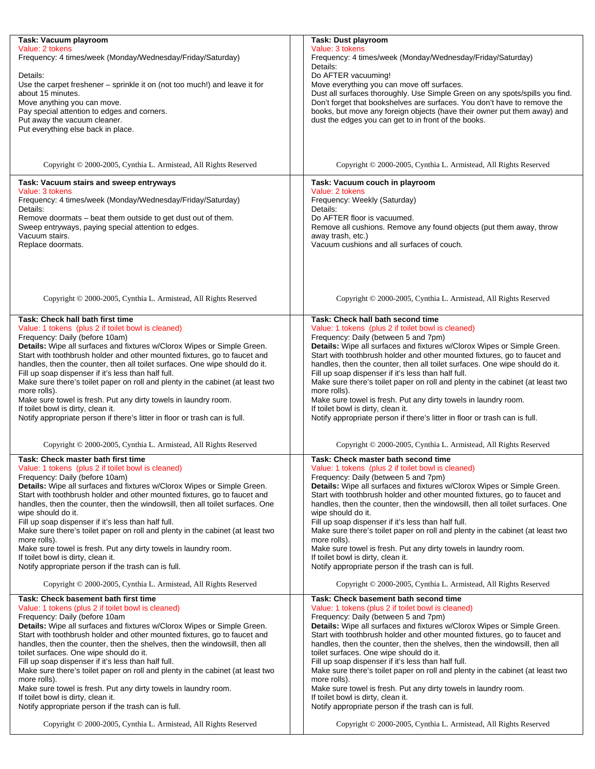| Task: Vacuum playroom                                                          | Task: Dust playroom                                                            |
|--------------------------------------------------------------------------------|--------------------------------------------------------------------------------|
| Value: 2 tokens                                                                | Value: 3 tokens                                                                |
| Frequency: 4 times/week (Monday/Wednesday/Friday/Saturday)                     | Frequency: 4 times/week (Monday/Wednesday/Friday/Saturday)                     |
|                                                                                | Details:                                                                       |
| Details:                                                                       | Do AFTER vacuuming!                                                            |
|                                                                                |                                                                                |
| Use the carpet freshener - sprinkle it on (not too much!) and leave it for     | Move everything you can move off surfaces.                                     |
| about 15 minutes.                                                              | Dust all surfaces thoroughly. Use Simple Green on any spots/spills you find.   |
| Move anything you can move.                                                    | Don't forget that bookshelves are surfaces. You don't have to remove the       |
| Pay special attention to edges and corners.                                    | books, but move any foreign objects (have their owner put them away) and       |
| Put away the vacuum cleaner.                                                   | dust the edges you can get to in front of the books.                           |
| Put everything else back in place.                                             |                                                                                |
|                                                                                |                                                                                |
|                                                                                |                                                                                |
|                                                                                |                                                                                |
|                                                                                |                                                                                |
| Copyright © 2000-2005, Cynthia L. Armistead, All Rights Reserved               | Copyright © 2000-2005, Cynthia L. Armistead, All Rights Reserved               |
|                                                                                |                                                                                |
| Task: Vacuum stairs and sweep entryways                                        | Task: Vacuum couch in playroom                                                 |
| Value: 3 tokens                                                                | Value: 2 tokens                                                                |
| Frequency: 4 times/week (Monday/Wednesday/Friday/Saturday)                     | Frequency: Weekly (Saturday)                                                   |
|                                                                                |                                                                                |
| Details:                                                                       | Details:                                                                       |
| Remove doormats - beat them outside to get dust out of them.                   | Do AFTER floor is vacuumed.                                                    |
| Sweep entryways, paying special attention to edges.                            | Remove all cushions. Remove any found objects (put them away, throw            |
| Vacuum stairs.                                                                 | away trash, etc.)                                                              |
| Replace doormats.                                                              | Vacuum cushions and all surfaces of couch.                                     |
|                                                                                |                                                                                |
|                                                                                |                                                                                |
|                                                                                |                                                                                |
|                                                                                |                                                                                |
|                                                                                |                                                                                |
|                                                                                |                                                                                |
| Copyright © 2000-2005, Cynthia L. Armistead, All Rights Reserved               | Copyright © 2000-2005, Cynthia L. Armistead, All Rights Reserved               |
|                                                                                |                                                                                |
| Task: Check hall bath first time                                               | Task: Check hall bath second time                                              |
|                                                                                |                                                                                |
| Value: 1 tokens (plus 2 if toilet bowl is cleaned)                             | Value: 1 tokens (plus 2 if toilet bowl is cleaned)                             |
| Frequency: Daily (before 10am)                                                 | Frequency: Daily (between 5 and 7pm)                                           |
| Details: Wipe all surfaces and fixtures w/Clorox Wipes or Simple Green.        | Details: Wipe all surfaces and fixtures w/Clorox Wipes or Simple Green.        |
| Start with toothbrush holder and other mounted fixtures, go to faucet and      | Start with toothbrush holder and other mounted fixtures, go to faucet and      |
| handles, then the counter, then all toilet surfaces. One wipe should do it.    | handles, then the counter, then all toilet surfaces. One wipe should do it.    |
| Fill up soap dispenser if it's less than half full.                            | Fill up soap dispenser if it's less than half full.                            |
|                                                                                |                                                                                |
| Make sure there's toilet paper on roll and plenty in the cabinet (at least two | Make sure there's toilet paper on roll and plenty in the cabinet (at least two |
| more rolls).                                                                   | more rolls).                                                                   |
| Make sure towel is fresh. Put any dirty towels in laundry room.                | Make sure towel is fresh. Put any dirty towels in laundry room.                |
| If toilet bowl is dirty, clean it.                                             | If toilet bowl is dirty, clean it.                                             |
| Notify appropriate person if there's litter in floor or trash can is full.     | Notify appropriate person if there's litter in floor or trash can is full.     |
|                                                                                |                                                                                |
|                                                                                |                                                                                |
| Copyright © 2000-2005, Cynthia L. Armistead, All Rights Reserved               | Copyright © 2000-2005, Cynthia L. Armistead, All Rights Reserved               |
|                                                                                |                                                                                |
| Task: Check master bath first time                                             | Task: Check master bath second time                                            |
| Value: 1 tokens (plus 2 if toilet bowl is cleaned)                             | Value: 1 tokens (plus 2 if toilet bowl is cleaned)                             |
| Frequency: Daily (before 10am)                                                 | Frequency: Daily (between 5 and 7pm)                                           |
| Details: Wipe all surfaces and fixtures w/Clorox Wipes or Simple Green.        | Details: Wipe all surfaces and fixtures w/Clorox Wipes or Simple Green.        |
|                                                                                |                                                                                |
| Start with toothbrush holder and other mounted fixtures, go to faucet and      | Start with toothbrush holder and other mounted fixtures, go to faucet and      |
| handles, then the counter, then the windowsill, then all toilet surfaces. One  | handles, then the counter, then the windowsill, then all toilet surfaces. One  |
| wipe should do it.                                                             | wipe should do it.                                                             |
| Fill up soap dispenser if it's less than half full.                            | Fill up soap dispenser if it's less than half full.                            |
| Make sure there's toilet paper on roll and plenty in the cabinet (at least two | Make sure there's toilet paper on roll and plenty in the cabinet (at least two |
| more rolls).                                                                   | more rolls).                                                                   |
| Make sure towel is fresh. Put any dirty towels in laundry room.                | Make sure towel is fresh. Put any dirty towels in laundry room.                |
| If toilet bowl is dirty, clean it.                                             | If toilet bowl is dirty, clean it.                                             |
| Notify appropriate person if the trash can is full.                            | Notify appropriate person if the trash can is full.                            |
|                                                                                |                                                                                |
| Copyright © 2000-2005, Cynthia L. Armistead, All Rights Reserved               | Copyright © 2000-2005, Cynthia L. Armistead, All Rights Reserved               |
|                                                                                |                                                                                |
| Task: Check basement bath first time                                           | Task: Check basement bath second time                                          |
| Value: 1 tokens (plus 2 if toilet bowl is cleaned)                             | Value: 1 tokens (plus 2 if toilet bowl is cleaned)                             |
| Frequency: Daily (before 10am                                                  | Frequency: Daily (between 5 and 7pm)                                           |
|                                                                                |                                                                                |
| Details: Wipe all surfaces and fixtures w/Clorox Wipes or Simple Green.        | Details: Wipe all surfaces and fixtures w/Clorox Wipes or Simple Green.        |
| Start with toothbrush holder and other mounted fixtures, go to faucet and      | Start with toothbrush holder and other mounted fixtures, go to faucet and      |
| handles, then the counter, then the shelves, then the windowsill, then all     | handles, then the counter, then the shelves, then the windowsill, then all     |
| toilet surfaces. One wipe should do it.                                        | toilet surfaces. One wipe should do it.                                        |
| Fill up soap dispenser if it's less than half full.                            | Fill up soap dispenser if it's less than half full.                            |
| Make sure there's toilet paper on roll and plenty in the cabinet (at least two | Make sure there's toilet paper on roll and plenty in the cabinet (at least two |
| more rolls).                                                                   | more rolls).                                                                   |
| Make sure towel is fresh. Put any dirty towels in laundry room.                | Make sure towel is fresh. Put any dirty towels in laundry room.                |
|                                                                                |                                                                                |
| If toilet bowl is dirty, clean it.                                             | If toilet bowl is dirty, clean it.                                             |
| Notify appropriate person if the trash can is full.                            | Notify appropriate person if the trash can is full.                            |
|                                                                                |                                                                                |
| Copyright © 2000-2005, Cynthia L. Armistead, All Rights Reserved               | Copyright © 2000-2005, Cynthia L. Armistead, All Rights Reserved               |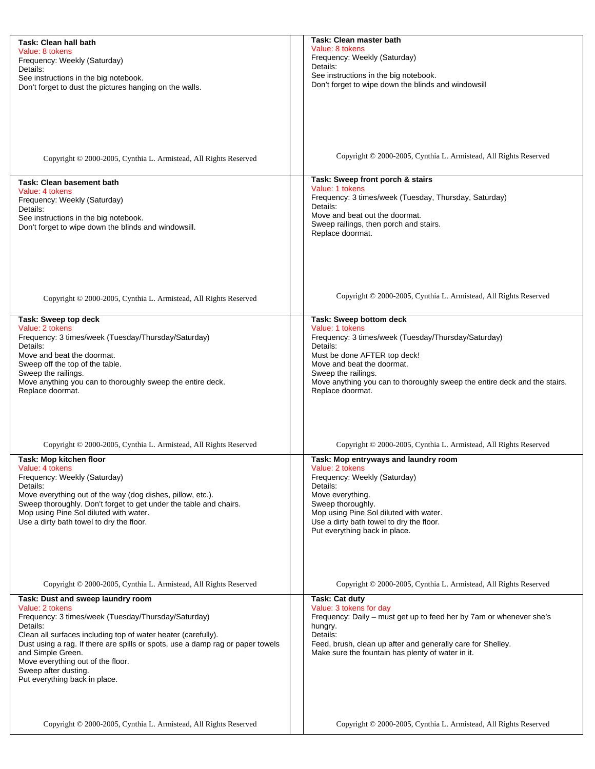| Task: Clean hall bath                                                          | Task: Clean master bath                                                   |
|--------------------------------------------------------------------------------|---------------------------------------------------------------------------|
| Value: 8 tokens                                                                | Value: 8 tokens                                                           |
| Frequency: Weekly (Saturday)                                                   | Frequency: Weekly (Saturday)                                              |
| Details:                                                                       | Details:                                                                  |
| See instructions in the big notebook.                                          | See instructions in the big notebook.                                     |
| Don't forget to dust the pictures hanging on the walls.                        | Don't forget to wipe down the blinds and windowsill                       |
|                                                                                |                                                                           |
|                                                                                |                                                                           |
|                                                                                |                                                                           |
|                                                                                |                                                                           |
|                                                                                |                                                                           |
|                                                                                |                                                                           |
|                                                                                |                                                                           |
|                                                                                | Copyright © 2000-2005, Cynthia L. Armistead, All Rights Reserved          |
| Copyright © 2000-2005, Cynthia L. Armistead, All Rights Reserved               |                                                                           |
|                                                                                |                                                                           |
| <b>Task: Clean basement bath</b>                                               | Task: Sweep front porch & stairs                                          |
| Value: 4 tokens                                                                | Value: 1 tokens                                                           |
|                                                                                | Frequency: 3 times/week (Tuesday, Thursday, Saturday)                     |
| Frequency: Weekly (Saturday)                                                   | Details:                                                                  |
| Details:                                                                       | Move and beat out the doormat.                                            |
| See instructions in the big notebook.                                          | Sweep railings, then porch and stairs.                                    |
| Don't forget to wipe down the blinds and windowsill.                           | Replace doormat.                                                          |
|                                                                                |                                                                           |
|                                                                                |                                                                           |
|                                                                                |                                                                           |
|                                                                                |                                                                           |
|                                                                                |                                                                           |
|                                                                                |                                                                           |
|                                                                                |                                                                           |
| Copyright © 2000-2005, Cynthia L. Armistead, All Rights Reserved               | Copyright © 2000-2005, Cynthia L. Armistead, All Rights Reserved          |
|                                                                                |                                                                           |
| Task: Sweep top deck                                                           | Task: Sweep bottom deck                                                   |
| Value: 2 tokens                                                                | Value: 1 tokens                                                           |
| Frequency: 3 times/week (Tuesday/Thursday/Saturday)                            | Frequency: 3 times/week (Tuesday/Thursday/Saturday)                       |
| Details:                                                                       | Details:                                                                  |
| Move and beat the doormat.                                                     | Must be done AFTER top deck!                                              |
| Sweep off the top of the table.                                                | Move and beat the doormat.                                                |
|                                                                                |                                                                           |
| Sweep the railings.                                                            | Sweep the railings.                                                       |
| Move anything you can to thoroughly sweep the entire deck.                     | Move anything you can to thoroughly sweep the entire deck and the stairs. |
| Replace doormat.                                                               | Replace doormat.                                                          |
|                                                                                |                                                                           |
|                                                                                |                                                                           |
|                                                                                |                                                                           |
|                                                                                |                                                                           |
|                                                                                |                                                                           |
| Copyright © 2000-2005, Cynthia L. Armistead, All Rights Reserved               | Copyright © 2000-2005, Cynthia L. Armistead, All Rights Reserved          |
| Task: Mop kitchen floor                                                        | Task: Mop entryways and laundry room                                      |
| Value: 4 tokens                                                                | Value: 2 tokens                                                           |
| Frequency: Weekly (Saturday)                                                   | Frequency: Weekly (Saturday)                                              |
| Details:                                                                       | Details:                                                                  |
| Move everything out of the way (dog dishes, pillow, etc.).                     | Move everything.                                                          |
| Sweep thoroughly. Don't forget to get under the table and chairs.              | Sweep thoroughly.                                                         |
| Mop using Pine Sol diluted with water.                                         | Mop using Pine Sol diluted with water.                                    |
| Use a dirty bath towel to dry the floor.                                       | Use a dirty bath towel to dry the floor.                                  |
|                                                                                | Put everything back in place.                                             |
|                                                                                |                                                                           |
|                                                                                |                                                                           |
|                                                                                |                                                                           |
|                                                                                |                                                                           |
|                                                                                |                                                                           |
| Copyright © 2000-2005, Cynthia L. Armistead, All Rights Reserved               | Copyright © 2000-2005, Cynthia L. Armistead, All Rights Reserved          |
|                                                                                |                                                                           |
| Task: Dust and sweep laundry room                                              | Task: Cat duty                                                            |
| Value: 2 tokens                                                                | Value: 3 tokens for day                                                   |
| Frequency: 3 times/week (Tuesday/Thursday/Saturday)                            | Frequency: Daily – must get up to feed her by 7am or whenever she's       |
| Details:                                                                       | hungry.                                                                   |
| Clean all surfaces including top of water heater (carefully).                  | Details:                                                                  |
| Dust using a rag. If there are spills or spots, use a damp rag or paper towels | Feed, brush, clean up after and generally care for Shelley.               |
| and Simple Green.                                                              | Make sure the fountain has plenty of water in it.                         |
| Move everything out of the floor.                                              |                                                                           |
| Sweep after dusting.                                                           |                                                                           |
| Put everything back in place.                                                  |                                                                           |
|                                                                                |                                                                           |
|                                                                                |                                                                           |
|                                                                                |                                                                           |
|                                                                                |                                                                           |
| Copyright © 2000-2005, Cynthia L. Armistead, All Rights Reserved               | Copyright © 2000-2005, Cynthia L. Armistead, All Rights Reserved          |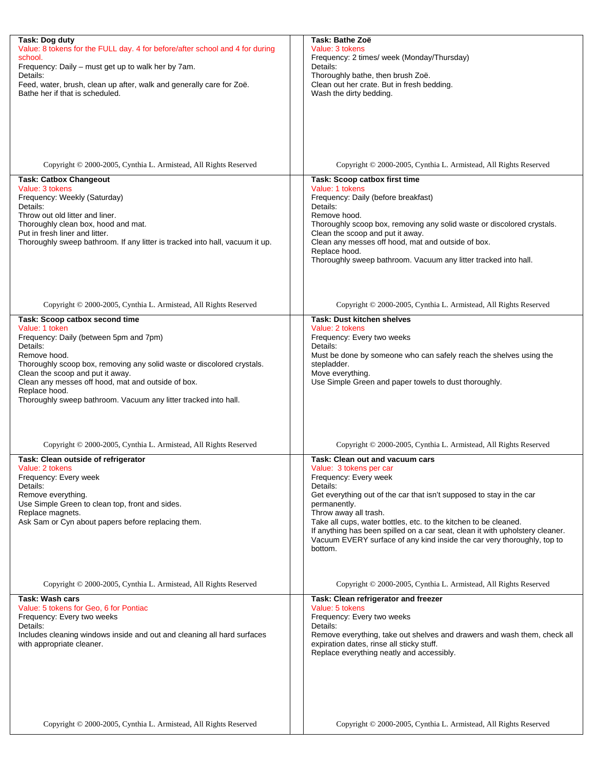| Task: Dog duty<br>Value: 8 tokens for the FULL day. 4 for before/after school and 4 for during     | Task: Bathe Zoë<br>Value: 3 tokens                                                                                    |
|----------------------------------------------------------------------------------------------------|-----------------------------------------------------------------------------------------------------------------------|
| school.<br>Frequency: Daily - must get up to walk her by 7am.                                      | Frequency: 2 times/ week (Monday/Thursday)<br>Details:                                                                |
| Details:<br>Feed, water, brush, clean up after, walk and generally care for Zoë.                   | Thoroughly bathe, then brush Zoë.<br>Clean out her crate. But in fresh bedding.                                       |
| Bathe her if that is scheduled.                                                                    | Wash the dirty bedding.                                                                                               |
|                                                                                                    |                                                                                                                       |
|                                                                                                    |                                                                                                                       |
|                                                                                                    |                                                                                                                       |
| Copyright © 2000-2005, Cynthia L. Armistead, All Rights Reserved                                   | Copyright © 2000-2005, Cynthia L. Armistead, All Rights Reserved                                                      |
| <b>Task: Catbox Changeout</b><br>Value: 3 tokens                                                   | Task: Scoop catbox first time<br>Value: 1 tokens                                                                      |
| Frequency: Weekly (Saturday)<br>Details:                                                           | Frequency: Daily (before breakfast)<br>Details:                                                                       |
| Throw out old litter and liner.                                                                    | Remove hood.                                                                                                          |
| Thoroughly clean box, hood and mat.<br>Put in fresh liner and litter.                              | Thoroughly scoop box, removing any solid waste or discolored crystals.<br>Clean the scoop and put it away.            |
| Thoroughly sweep bathroom. If any litter is tracked into hall, vacuum it up.                       | Clean any messes off hood, mat and outside of box.<br>Replace hood.                                                   |
|                                                                                                    | Thoroughly sweep bathroom. Vacuum any litter tracked into hall.                                                       |
|                                                                                                    |                                                                                                                       |
|                                                                                                    |                                                                                                                       |
| Copyright © 2000-2005, Cynthia L. Armistead, All Rights Reserved<br>Task: Scoop catbox second time | Copyright © 2000-2005, Cynthia L. Armistead, All Rights Reserved<br><b>Task: Dust kitchen shelves</b>                 |
| Value: 1 token                                                                                     | Value: 2 tokens                                                                                                       |
| Frequency: Daily (between 5pm and 7pm)<br>Details:                                                 | Frequency: Every two weeks<br>Details:                                                                                |
| Remove hood.<br>Thoroughly scoop box, removing any solid waste or discolored crystals.             | Must be done by someone who can safely reach the shelves using the<br>stepladder.                                     |
| Clean the scoop and put it away.<br>Clean any messes off hood, mat and outside of box.             | Move everything.<br>Use Simple Green and paper towels to dust thoroughly.                                             |
| Replace hood.<br>Thoroughly sweep bathroom. Vacuum any litter tracked into hall.                   |                                                                                                                       |
|                                                                                                    |                                                                                                                       |
|                                                                                                    |                                                                                                                       |
| Copyright © 2000-2005, Cynthia L. Armistead, All Rights Reserved                                   | Copyright © 2000-2005, Cynthia L. Armistead, All Rights Reserved                                                      |
| Task: Clean outside of refrigerator<br>Value: 2 tokens                                             | Task: Clean out and vacuum cars<br>Value: 3 tokens per car                                                            |
| Frequency: Every week<br>Details:                                                                  | Frequency: Every week<br>Details:                                                                                     |
| Remove everything.<br>Use Simple Green to clean top, front and sides.                              | Get everything out of the car that isn't supposed to stay in the car<br>permanently.                                  |
| Replace magnets.<br>Ask Sam or Cyn about papers before replacing them.                             | Throw away all trash.<br>Take all cups, water bottles, etc. to the kitchen to be cleaned.                             |
|                                                                                                    | If anything has been spilled on a car seat, clean it with upholstery cleaner.                                         |
|                                                                                                    | Vacuum EVERY surface of any kind inside the car very thoroughly, top to<br>bottom.                                    |
|                                                                                                    |                                                                                                                       |
| Copyright © 2000-2005, Cynthia L. Armistead, All Rights Reserved                                   | Copyright © 2000-2005, Cynthia L. Armistead, All Rights Reserved                                                      |
| <b>Task: Wash cars</b><br>Value: 5 tokens for Geo, 6 for Pontiac                                   | Task: Clean refrigerator and freezer<br>Value: 5 tokens                                                               |
| Frequency: Every two weeks<br>Details:                                                             | Frequency: Every two weeks<br>Details:                                                                                |
| Includes cleaning windows inside and out and cleaning all hard surfaces                            | Remove everything, take out shelves and drawers and wash them, check all<br>expiration dates, rinse all sticky stuff. |
| with appropriate cleaner.                                                                          | Replace everything neatly and accessibly.                                                                             |
|                                                                                                    |                                                                                                                       |
|                                                                                                    |                                                                                                                       |
|                                                                                                    |                                                                                                                       |
| Copyright © 2000-2005, Cynthia L. Armistead, All Rights Reserved                                   | Copyright © 2000-2005, Cynthia L. Armistead, All Rights Reserved                                                      |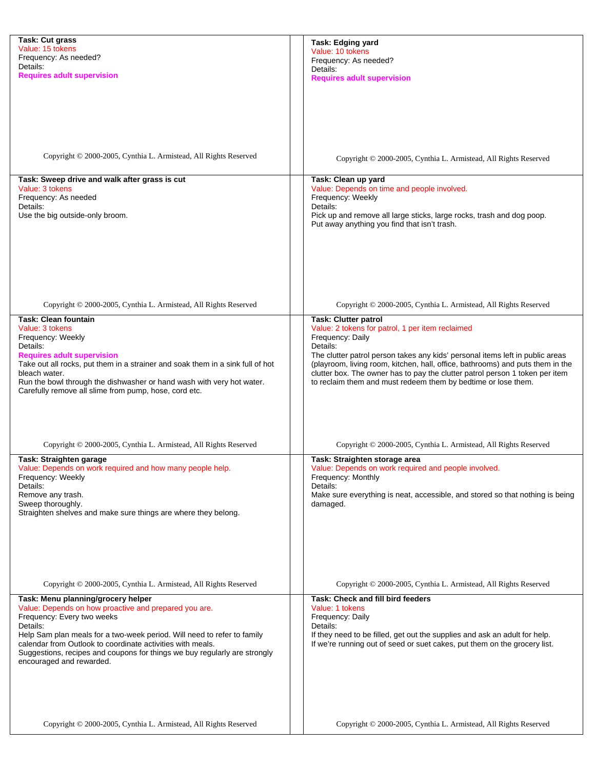| Task: Cut grass                                                                | Task: Edging yard                                                              |
|--------------------------------------------------------------------------------|--------------------------------------------------------------------------------|
| Value: 15 tokens                                                               | Value: 10 tokens                                                               |
| Frequency: As needed?                                                          |                                                                                |
|                                                                                | Frequency: As needed?                                                          |
| Details:                                                                       | Details:                                                                       |
| <b>Requires adult supervision</b>                                              | <b>Requires adult supervision</b>                                              |
|                                                                                |                                                                                |
|                                                                                |                                                                                |
|                                                                                |                                                                                |
|                                                                                |                                                                                |
|                                                                                |                                                                                |
|                                                                                |                                                                                |
|                                                                                |                                                                                |
|                                                                                |                                                                                |
|                                                                                |                                                                                |
|                                                                                |                                                                                |
| Copyright © 2000-2005, Cynthia L. Armistead, All Rights Reserved               | Copyright © 2000-2005, Cynthia L. Armistead, All Rights Reserved               |
|                                                                                |                                                                                |
|                                                                                |                                                                                |
| Task: Sweep drive and walk after grass is cut                                  | Task: Clean up yard                                                            |
| Value: 3 tokens                                                                | Value: Depends on time and people involved.                                    |
| Frequency: As needed                                                           | Frequency: Weekly                                                              |
|                                                                                | Details:                                                                       |
| Details:                                                                       |                                                                                |
| Use the big outside-only broom.                                                | Pick up and remove all large sticks, large rocks, trash and dog poop.          |
|                                                                                | Put away anything you find that isn't trash.                                   |
|                                                                                |                                                                                |
|                                                                                |                                                                                |
|                                                                                |                                                                                |
|                                                                                |                                                                                |
|                                                                                |                                                                                |
|                                                                                |                                                                                |
|                                                                                |                                                                                |
|                                                                                |                                                                                |
|                                                                                |                                                                                |
|                                                                                |                                                                                |
| Copyright © 2000-2005, Cynthia L. Armistead, All Rights Reserved               | Copyright © 2000-2005, Cynthia L. Armistead, All Rights Reserved               |
|                                                                                |                                                                                |
| Task: Clean fountain                                                           | <b>Task: Clutter patrol</b>                                                    |
| Value: 3 tokens                                                                | Value: 2 tokens for patrol, 1 per item reclaimed                               |
|                                                                                |                                                                                |
| Frequency: Weekly                                                              | Frequency: Daily                                                               |
| Details:                                                                       | Details:                                                                       |
| <b>Requires adult supervision</b>                                              | The clutter patrol person takes any kids' personal items left in public areas  |
|                                                                                |                                                                                |
| Take out all rocks, put them in a strainer and soak them in a sink full of hot | (playroom, living room, kitchen, hall, office, bathrooms) and puts them in the |
| bleach water.                                                                  | clutter box. The owner has to pay the clutter patrol person 1 token per item   |
| Run the bowl through the dishwasher or hand wash with very hot water.          | to reclaim them and must redeem them by bedtime or lose them.                  |
| Carefully remove all slime from pump, hose, cord etc.                          |                                                                                |
|                                                                                |                                                                                |
|                                                                                |                                                                                |
|                                                                                |                                                                                |
|                                                                                |                                                                                |
|                                                                                |                                                                                |
|                                                                                |                                                                                |
| Copyright © 2000-2005, Cynthia L. Armistead, All Rights Reserved               | Copyright © 2000-2005, Cynthia L. Armistead, All Rights Reserved               |
|                                                                                |                                                                                |
| Task: Straighten garage                                                        | Task: Straighten storage area                                                  |
| Value: Depends on work required and how many people help.                      | Value: Depends on work required and people involved.                           |
|                                                                                |                                                                                |
| Frequency: Weekly                                                              | Frequency: Monthly                                                             |
| Details:                                                                       | Details:                                                                       |
| Remove any trash.                                                              | Make sure everything is neat, accessible, and stored so that nothing is being  |
| Sweep thoroughly.                                                              |                                                                                |
|                                                                                | damaged.                                                                       |
| Straighten shelves and make sure things are where they belong.                 |                                                                                |
|                                                                                |                                                                                |
|                                                                                |                                                                                |
|                                                                                |                                                                                |
|                                                                                |                                                                                |
|                                                                                |                                                                                |
|                                                                                |                                                                                |
|                                                                                |                                                                                |
|                                                                                |                                                                                |
|                                                                                |                                                                                |
| Copyright © 2000-2005, Cynthia L. Armistead, All Rights Reserved               | Copyright © 2000-2005, Cynthia L. Armistead, All Rights Reserved               |
| Task: Menu planning/grocery helper                                             | Task: Check and fill bird feeders                                              |
|                                                                                |                                                                                |
| Value: Depends on how proactive and prepared you are.                          | Value: 1 tokens                                                                |
| Frequency: Every two weeks                                                     | Frequency: Daily                                                               |
| Details:                                                                       | Details:                                                                       |
| Help Sam plan meals for a two-week period. Will need to refer to family        | If they need to be filled, get out the supplies and ask an adult for help.     |
|                                                                                |                                                                                |
| calendar from Outlook to coordinate activities with meals.                     | If we're running out of seed or suet cakes, put them on the grocery list.      |
| Suggestions, recipes and coupons for things we buy regularly are strongly      |                                                                                |
| encouraged and rewarded.                                                       |                                                                                |
|                                                                                |                                                                                |
|                                                                                |                                                                                |
|                                                                                |                                                                                |
|                                                                                |                                                                                |
|                                                                                |                                                                                |
|                                                                                |                                                                                |
|                                                                                |                                                                                |
| Copyright © 2000-2005, Cynthia L. Armistead, All Rights Reserved               | Copyright © 2000-2005, Cynthia L. Armistead, All Rights Reserved               |
|                                                                                |                                                                                |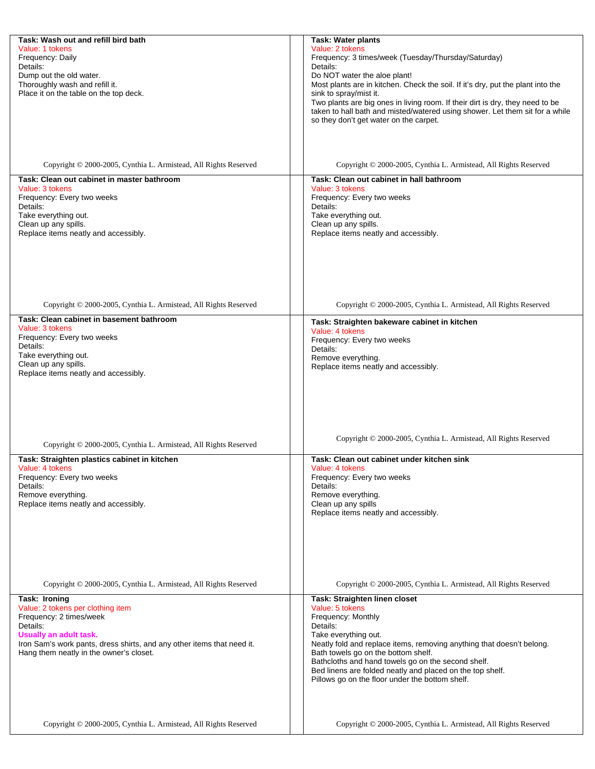| Task: Wash out and refill bird bath                                    | <b>Task: Water plants</b>                                                                                    |
|------------------------------------------------------------------------|--------------------------------------------------------------------------------------------------------------|
| Value: 1 tokens                                                        | Value: 2 tokens                                                                                              |
| Frequency: Daily                                                       | Frequency: 3 times/week (Tuesday/Thursday/Saturday)                                                          |
| Details:<br>Dump out the old water.                                    | Details:<br>Do NOT water the aloe plant!                                                                     |
| Thoroughly wash and refill it.                                         | Most plants are in kitchen. Check the soil. If it's dry, put the plant into the                              |
| Place it on the table on the top deck.                                 | sink to spray/mist it.                                                                                       |
|                                                                        | Two plants are big ones in living room. If their dirt is dry, they need to be                                |
|                                                                        | taken to hall bath and misted/watered using shower. Let them sit for a while                                 |
|                                                                        | so they don't get water on the carpet.                                                                       |
|                                                                        |                                                                                                              |
|                                                                        |                                                                                                              |
|                                                                        |                                                                                                              |
| Copyright © 2000-2005, Cynthia L. Armistead, All Rights Reserved       | Copyright © 2000-2005, Cynthia L. Armistead, All Rights Reserved                                             |
| Task: Clean out cabinet in master bathroom                             | Task: Clean out cabinet in hall bathroom                                                                     |
| Value: 3 tokens                                                        | Value: 3 tokens                                                                                              |
| Frequency: Every two weeks                                             | Frequency: Every two weeks                                                                                   |
| Details:                                                               | Details:                                                                                                     |
| Take everything out.                                                   | Take everything out.                                                                                         |
| Clean up any spills.                                                   | Clean up any spills.                                                                                         |
| Replace items neatly and accessibly.                                   | Replace items neatly and accessibly.                                                                         |
|                                                                        |                                                                                                              |
|                                                                        |                                                                                                              |
|                                                                        |                                                                                                              |
|                                                                        |                                                                                                              |
|                                                                        |                                                                                                              |
| Copyright © 2000-2005, Cynthia L. Armistead, All Rights Reserved       | Copyright © 2000-2005, Cynthia L. Armistead, All Rights Reserved                                             |
| Task: Clean cabinet in basement bathroom                               |                                                                                                              |
| Value: 3 tokens                                                        | Task: Straighten bakeware cabinet in kitchen<br>Value: 4 tokens                                              |
| Frequency: Every two weeks                                             | Frequency: Every two weeks                                                                                   |
| Details:                                                               | Details:                                                                                                     |
| Take everything out.                                                   | Remove everything.                                                                                           |
| Clean up any spills.<br>Replace items neatly and accessibly.           | Replace items neatly and accessibly.                                                                         |
|                                                                        |                                                                                                              |
|                                                                        |                                                                                                              |
|                                                                        |                                                                                                              |
|                                                                        |                                                                                                              |
|                                                                        |                                                                                                              |
|                                                                        | Copyright © 2000-2005, Cynthia L. Armistead, All Rights Reserved                                             |
| Copyright © 2000-2005, Cynthia L. Armistead, All Rights Reserved       |                                                                                                              |
| Task: Straighten plastics cabinet in kitchen                           | Task: Clean out cabinet under kitchen sink                                                                   |
| Value: 4 tokens                                                        | Value: 4 tokens                                                                                              |
| Frequency: Every two weeks                                             | Frequency: Every two weeks                                                                                   |
| Details:                                                               | Details:                                                                                                     |
| Remove everything.<br>Replace items neatly and accessibly.             | Remove everything.<br>Clean up any spills                                                                    |
|                                                                        | Replace items neatly and accessibly.                                                                         |
|                                                                        |                                                                                                              |
|                                                                        |                                                                                                              |
|                                                                        |                                                                                                              |
|                                                                        |                                                                                                              |
|                                                                        |                                                                                                              |
|                                                                        |                                                                                                              |
| Copyright © 2000-2005, Cynthia L. Armistead, All Rights Reserved       | Copyright © 2000-2005, Cynthia L. Armistead, All Rights Reserved                                             |
| Task: Ironing                                                          | Task: Straighten linen closet                                                                                |
| Value: 2 tokens per clothing item                                      | Value: 5 tokens                                                                                              |
| Frequency: 2 times/week<br>Details:                                    | Frequency: Monthly<br>Details:                                                                               |
| Usually an adult task.                                                 | Take everything out.                                                                                         |
| Iron Sam's work pants, dress shirts, and any other items that need it. | Neatly fold and replace items, removing anything that doesn't belong.                                        |
| Hang them neatly in the owner's closet.                                | Bath towels go on the bottom shelf.                                                                          |
|                                                                        | Bathcloths and hand towels go on the second shelf.                                                           |
|                                                                        | Bed linens are folded neatly and placed on the top shelf.<br>Pillows go on the floor under the bottom shelf. |
|                                                                        |                                                                                                              |
|                                                                        |                                                                                                              |
|                                                                        |                                                                                                              |
| Copyright © 2000-2005, Cynthia L. Armistead, All Rights Reserved       | Copyright © 2000-2005, Cynthia L. Armistead, All Rights Reserved                                             |
|                                                                        |                                                                                                              |